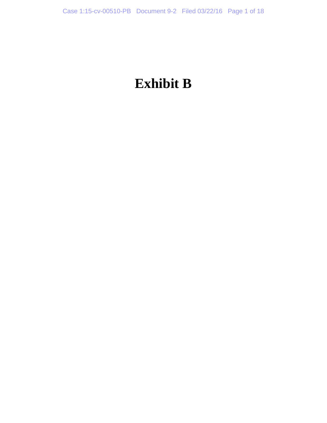# **Exhibit B**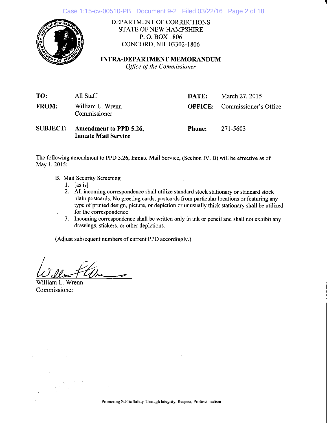

DEPARTMENT OF CORRECTIONS STATE OF NEW HAMPSHIRE P. O. BOX 1806 coNCoRD,NH 03302-1806

### INTRA-DEPARTMENT MEMORANDUM

Office of the Commissioner

| TO:          | All Staff                                                     | DATE:         | March 27, 2015                       |
|--------------|---------------------------------------------------------------|---------------|--------------------------------------|
| <b>FROM:</b> | William L. Wrenn<br>Commissioner                              |               | <b>OFFICE:</b> Commissioner's Office |
|              | SUBJECT: Amendment to PPD 5.26,<br><b>Inmate Mail Service</b> | <b>Phone:</b> | -271-5603                            |

The following amendment to PPD 5.26, Inmate Mail Service, (Section IV. B) will be effective as of May 1, 2015:

- B. Mail Security Screening
	- l. [as is]
	- 2. All incoming correspondence shall utilize standard stock stationary or standard stock plain postcards. No greeting cards, postcards from particular locations or featuring any type of printed design, picture, or depiction or unusually thick stationary shall be utilized for the correspondence.
	- 3. Incoming correspondence shall be written only in ink or pencil and shall not exhibit any drawings, stickers, or other depictions.

(Adjust subsequent numbers of current PPD accordingly.)

William L. Wrenn Commissioner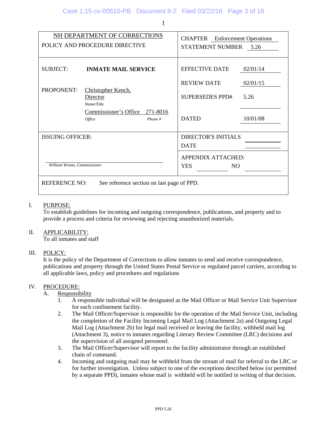|                             | NH DEPARTMENT OF CORRECTIONS<br>POLICY AND PROCEDURE DIRECTIVE | <b>CHAPTER</b> Enforcement Operations<br><b>STATEMENT NUMBER</b><br>5.26 |          |  |
|-----------------------------|----------------------------------------------------------------|--------------------------------------------------------------------------|----------|--|
| <b>SUBJECT:</b>             | <b>INMATE MAIL SERVICE</b>                                     | <b>EFFECTIVE DATE</b>                                                    | 02/01/14 |  |
|                             |                                                                | <b>REVIEW DATE</b>                                                       | 02/01/15 |  |
| <b>PROPONENT:</b>           | Christopher Kench,<br>Director<br>Name/Title                   | SUPERSEDES PPD#                                                          | 5.26     |  |
|                             | Commissioner's Office<br>271-8016<br>Phone #<br>Office         | <b>DATED</b>                                                             | 10/01/08 |  |
| <b>ISSUING OFFICER:</b>     |                                                                | <b>DIRECTOR'S INITIALS</b>                                               |          |  |
|                             |                                                                | <b>DATE</b>                                                              |          |  |
| William Wrenn, Commissioner |                                                                | <b>APPENDIX ATTACHED:</b><br><b>YES</b><br>N <sub>O</sub>                |          |  |
| <b>REFERENCE NO:</b>        | See reference section on last page of PPD.                     |                                                                          |          |  |

#### I. PURPOSE:

 To establish guidelines for incoming and outgoing correspondence, publications, and property and to provide a process and criteria for reviewing and rejecting unauthorized materials.

#### II. APPLICABILITY:

To all inmates and staff

#### III. POLICY:

 It is the policy of the Department of Corrections to allow inmates to send and receive correspondence, publications and property through the United States Postal Service or regulated parcel carriers, according to all applicable laws, policy and procedures and regulations

#### IV. PROCEDURE:

- A. Responsibility
	- 1. A responsible individual will be designated as the Mail Officer or Mail Service Unit Supervisor for each confinement facility.
	- 2. The Mail Officer/Supervisor is responsible for the operation of the Mail Service Unit, including the completion of the Facility Incoming Legal Mail Log (Attachment 2a) and Outgoing Legal Mail Log (Attachment 2b) for legal mail received or leaving the facility, withheld mail log (Attachment 3), notice to inmates regarding Literary Review Committee (LRC) decisions and the supervision of all assigned personnel.
	- 3. The Mail Officer/Supervisor will report to the facility administrator through an established chain of command.
	- 4. Incoming and outgoing mail may be withheld from the stream of mail for referral to the LRC or for further investigation. Unless subject to one of the exceptions described below (or permitted by a separate PPD), inmates whose mail is withheld will be notified in writing of that decision.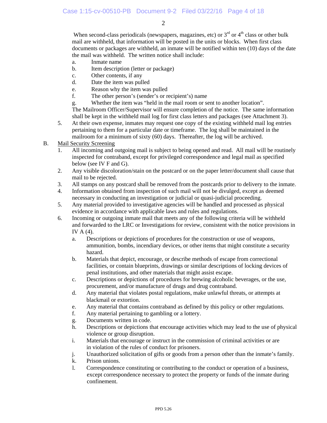When second-class periodicals (newspapers, magazines, etc) or  $3<sup>rd</sup>$  or  $4<sup>th</sup>$  class or other bulk mail are withheld, that information will be posted in the units or blocks. When first class documents or packages are withheld, an inmate will be notified within ten (10) days of the date the mail was withheld. The written notice shall include:

- a. Inmate name
- b. Item description (letter or package)
- c. Other contents, if any
- d. Date the item was pulled
- e. Reason why the item was pulled
- f. The other person's (sender's or recipient's) name
- g. Whether the item was "held in the mail room or sent to another location".

 The Mailroom Officer/Supervisor will ensure completion of the notice. The same information shall be kept in the withheld mail log for first class letters and packages (see Attachment 3).

5. At their own expense, inmates may request one copy of the existing withheld mail log entries pertaining to them for a particular date or timeframe. The log shall be maintained in the mailroom for a minimum of sixty (60) days. Thereafter, the log will be archived.

#### B. Mail Security Screening

- 1. All incoming and outgoing mail is subject to being opened and read. All mail will be routinely inspected for contraband, except for privileged correspondence and legal mail as specified below (see IV F and G).
- 2. Any visible discoloration/stain on the postcard or on the paper letter/document shall cause that mail to be rejected.
- 3. All stamps on any postcard shall be removed from the postcards prior to delivery to the inmate.
- 4. Information obtained from inspection of such mail will not be divulged, except as deemed necessary in conducting an investigation or judicial or quasi-judicial proceeding.
- 5. Any material provided to investigative agencies will be handled and processed as physical evidence in accordance with applicable laws and rules and regulations.
- 6. Incoming or outgoing inmate mail that meets any of the following criteria will be withheld and forwarded to the LRC or Investigations for review, consistent with the notice provisions in IV A (4).
	- a. Descriptions or depictions of procedures for the construction or use of weapons, ammunition, bombs, incendiary devices, or other items that might constitute a security hazard.
	- b. Materials that depict, encourage, or describe methods of escape from correctional facilities, or contain blueprints, drawings or similar descriptions of locking devices of penal institutions, and other materials that might assist escape.
	- c. Descriptions or depictions of procedures for brewing alcoholic beverages, or the use, procurement, and/or manufacture of drugs and drug contraband.
	- d. Any material that violates postal regulations, make unlawful threats, or attempts at blackmail or extortion.
	- e. Any material that contains contraband as defined by this policy or other regulations.
	- f. Any material pertaining to gambling or a lottery.
	- g. Documents written in code.
	- h. Descriptions or depictions that encourage activities which may lead to the use of physical violence or group disruption.
	- i. Materials that encourage or instruct in the commission of criminal activities or are in violation of the rules of conduct for prisoners.
	- j. Unauthorized solicitation of gifts or goods from a person other than the inmate's family.
	- k. Prison unions.
	- l. Correspondence constituting or contributing to the conduct or operation of a business, except correspondence necessary to protect the property or funds of the inmate during confinement.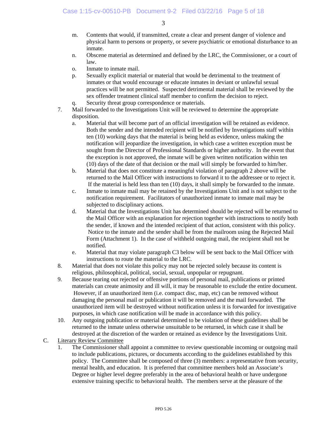- m. Contents that would, if transmitted, create a clear and present danger of violence and physical harm to persons or property, or severe psychiatric or emotional disturbance to an inmate.
- n. Obscene material as determined and defined by the LRC, the Commissioner, or a court of law.
- o. Inmate to inmate mail.
- p. Sexually explicit material or material that would be detrimental to the treatment of inmates or that would encourage or educate inmates in deviant or unlawful sexual practices will be not permitted. Suspected detrimental material shall be reviewed by the sex offender treatment clinical staff member to confirm the decision to reject.
- q. Security threat group correspondence or materials.
- 7. Mail forwarded to the Investigations Unit will be reviewed to determine the appropriate disposition.
	- a. Material that will become part of an official investigation will be retained as evidence. Both the sender and the intended recipient will be notified by Investigations staff within ten (10) working days that the material is being held as evidence, unless making the notification will jeopardize the investigation, in which case a written exception must be sought from the Director of Professional Standards or higher authority. In the event that the exception is not approved, the inmate will be given written notification within ten (10) days of the date of that decision or the mail will simply be forwarded to him/her.
	- b. Material that does not constitute a meaningful violation of paragraph 2 above will be returned to the Mail Officer with instructions to forward it to the addressee or to reject it. If the material is held less than ten (10) days, it shall simply be forwarded to the inmate.
	- c. Inmate to inmate mail may be retained by the Investigations Unit and is not subject to the notification requirement. Facilitators of unauthorized inmate to inmate mail may be subjected to disciplinary actions.
	- d. Material that the Investigations Unit has determined should be rejected will be returned to the Mail Officer with an explanation for rejection together with instructions to notify both the sender, if known and the intended recipient of that action, consistent with this policy. Notice to the inmate and the sender shall be from the mailroom using the Rejected Mail Form (Attachment 1). In the case of withheld outgoing mail, the recipient shall not be notified.
	- e. Material that may violate paragraph C3 below will be sent back to the Mail Officer with instructions to route the material to the LRC.
- 8. Material that does not violate this policy may not be rejected solely because its content is religious, philosophical, political, social, sexual, unpopular or repugnant.
- 9. Because tearing out rejected or offensive portions of personal mail, publications or printed materials can create animosity and ill will, it may be reasonable to exclude the entire document. However, if an unauthorized item (i.e. compact disc, map, etc) can be removed without damaging the personal mail or publication it will be removed and the mail forwarded. The unauthorized item will be destroyed without notification unless it is forwarded for investigative purposes, in which case notification will be made in accordance with this policy.
- 10. Any outgoing publication or material determined to be violation of these guidelines shall be returned to the inmate unless otherwise unsuitable to be returned, in which case it shall be destroyed at the discretion of the warden or retained as evidence by the Investigations Unit.
- C. Literary Review Committee
	- 1. The Commissioner shall appoint a committee to review questionable incoming or outgoing mail to include publications, pictures, or documents according to the guidelines established by this policy. The Committee shall be composed of three (3) members: a representative from security, mental health, and education. It is preferred that committee members hold an Associate's Degree or higher level degree preferably in the area of behavioral health or have undergone extensive training specific to behavioral health. The members serve at the pleasure of the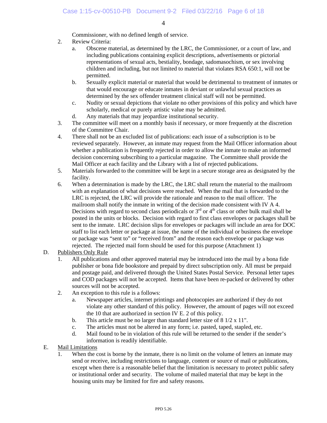Commissioner, with no defined length of service.

- 2. Review Criteria:
	- a. Obscene material, as determined by the LRC, the Commissioner, or a court of law, and including publications containing explicit descriptions, advertisements or pictorial representations of sexual acts, bestiality, bondage, sadomasochism, or sex involving children and including, but not limited to material that violates RSA 650:1, will not be permitted.
	- b. Sexually explicit material or material that would be detrimental to treatment of inmates or that would encourage or educate inmates in deviant or unlawful sexual practices as determined by the sex offender treatment clinical staff will not be permitted.
	- c. Nudity or sexual depictions that violate no other provisions of this policy and which have scholarly, medical or purely artistic value may be admitted.
	- d. Any materials that may jeopardize institutional security.
- 3. The committee will meet on a monthly basis if necessary, or more frequently at the discretion of the Committee Chair.
- 4. There shall not be an excluded list of publications: each issue of a subscription is to be reviewed separately. However, an inmate may request from the Mail Officer information about whether a publication is frequently rejected in order to allow the inmate to make an informed decision concerning subscribing to a particular magazine. The Committee shall provide the Mail Officer at each facility and the Library with a list of rejected publications.
- 5. Materials forwarded to the committee will be kept in a secure storage area as designated by the facility.
- 6. When a determination is made by the LRC, the LRC shall return the material to the mailroom with an explanation of what decisions were reached. When the mail that is forwarded to the LRC is rejected, the LRC will provide the rationale and reason to the mail officer. The mailroom shall notify the inmate in writing of the decision made consistent with IV A 4. Decisions with regard to second class periodicals or  $3<sup>rd</sup>$  or  $4<sup>th</sup>$  class or other bulk mail shall be posted in the units or blocks. Decision with regard to first class envelopes or packages shall be sent to the inmate. LRC decision slips for envelopes or packages will include an area for DOC staff to list each letter or package at issue, the name of the individual or business the envelope or package was "sent to" or "received from" and the reason each envelope or package was rejected. The rejected mail form should be used for this purpose (Attachment 1)

#### D. Publishers Only Rule

- 1. All publications and other approved material may be introduced into the mail by a bona fide publisher or bona fide bookstore and prepaid by direct subscription only. All must be prepaid and postage paid, and delivered through the United States Postal Service. Personal letter tapes and COD packages will not be accepted. Items that have been re-packed or delivered by other sources will not be accepted.
- 2. An exception to this rule is a follows:
	- a. Newspaper articles, internet printings and photocopies are authorized if they do not violate any other standard of this policy. However, the amount of pages will not exceed the 10 that are authorized in section IV E. 2 of this policy.
	- b. This article must be no larger than standard letter size of 8 1/2 x 11".
	- c. The articles must not be altered in any form; i.e. pasted, taped, stapled, etc.
	- d. Mail found to be in violation of this rule will be returned to the sender if the sender's information is readily identifiable.
- E. Mail Limitations
	- 1. When the cost is borne by the inmate, there is no limit on the volume of letters an inmate may send or receive, including restrictions to language, content or source of mail or publications, except when there is a reasonable belief that the limitation is necessary to protect public safety or institutional order and security. The volume of mailed material that may be kept in the housing units may be limited for fire and safety reasons.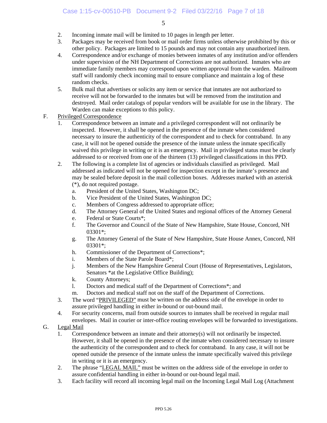- 2. Incoming inmate mail will be limited to 10 pages in length per letter.
- 3. Packages may be received from book or mail order firms unless otherwise prohibited by this or other policy. Packages are limited to 15 pounds and may not contain any unauthorized item.
- 4. Correspondence and/or exchange of monies between inmates of any institution and/or offenders under supervision of the NH Department of Corrections are not authorized. Inmates who are immediate family members may correspond upon written approval from the warden. Mailroom staff will randomly check incoming mail to ensure compliance and maintain a log of these random checks.
- 5. Bulk mail that advertises or solicits any item or service that inmates are not authorized to receive will not be forwarded to the inmates but will be removed from the institution and destroyed. Mail order catalogs of popular vendors will be available for use in the library. The Warden can make exceptions to this policy.
- F. Privileged Correspondence
	- 1. Correspondence between an inmate and a privileged correspondent will not ordinarily be inspected. However, it shall be opened in the presence of the inmate when considered necessary to insure the authenticity of the correspondent and to check for contraband. In any case, it will not be opened outside the presence of the inmate unless the inmate specifically waived this privilege in writing or it is an emergency. Mail in privileged status must be clearly addressed to or received from one of the thirteen (13) privileged classifications in this PPD.
	- 2. The following is a complete list of agencies or individuals classified as privileged. Mail addressed as indicated will not be opened for inspection except in the inmate's presence and may be sealed before deposit in the mail collection boxes. Addresses marked with an asterisk (\*), do not required postage.
		- a. President of the United States, Washington DC;
		- b. Vice President of the United States, Washington DC;
		- c. Members of Congress addressed to appropriate office;
		- d. The Attorney General of the United States and regional offices of the Attorney General
		- e. Federal or State Courts\*;
		- f. The Governor and Council of the State of New Hampshire, State House, Concord, NH 03301\*;
		- g. The Attorney General of the State of New Hampshire, State House Annex, Concord, NH 03301\*;
		- h. Commissioner of the Department of Corrections\*;
		- i. Members of the State Parole Board\*;
		- j. Members of the New Hampshire General Court (House of Representatives, Legislators, Senators \*at the Legislative Office Building);
		- k. County Attorneys;
		- l. Doctors and medical staff of the Department of Corrections\*; and
		- m. Doctors and medical staff not on the staff of the Department of Corrections.
	- 3. The word "PRIVILEGED" must be written on the address side of the envelope in order to assure privileged handling in either in-bound or out-bound mail.
	- 4. For security concerns, mail from outside sources to inmates shall be received in regular mail envelopes. Mail in courier or inter-office routing envelopes will be forwarded to investigations.
- G. Legal Mail
	- 1. Correspondence between an inmate and their attorney(s) will not ordinarily be inspected. However, it shall be opened in the presence of the inmate when considered necessary to insure the authenticity of the correspondent and to check for contraband. In any case, it will not be opened outside the presence of the inmate unless the inmate specifically waived this privilege in writing or it is an emergency.
	- 2. The phrase "LEGAL MAIL" must be written on the address side of the envelope in order to assure confidential handling in either in-bound or out-bound legal mail.
	- 3. Each facility will record all incoming legal mail on the Incoming Legal Mail Log (Attachment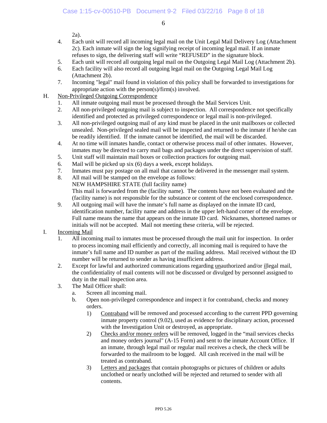2a).

- 4. Each unit will record all incoming legal mail on the Unit Legal Mail Delivery Log (Attachment 2c). Each inmate will sign the log signifying receipt of incoming legal mail. If an inmate refuses to sign, the delivering staff will write "REFUSED" in the signature block.
- 5. Each unit will record all outgoing legal mail on the Outgoing Legal Mail Log (Attachment 2b).
- 6. Each facility will also record all outgoing legal mail on the Outgoing Legal Mail Log (Attachment 2b).
- 7. Incoming "legal" mail found in violation of this policy shall be forwarded to investigations for appropriate action with the person(s)/firm(s) involved.
- H. Non-Privileged Outgoing Correspondence
	- 1. All inmate outgoing mail must be processed through the Mail Services Unit.
	- 2. All non-privileged outgoing mail is subject to inspection. All correspondence not specifically identified and protected as privileged correspondence or legal mail is non-privileged.
	- 3. All non-privileged outgoing mail of any kind must be placed in the unit mailboxes or collected unsealed. Non-privileged sealed mail will be inspected and returned to the inmate if he/she can be readily identified. If the inmate cannot be identified, the mail will be discarded.
	- 4. At no time will inmates handle, contact or otherwise process mail of other inmates. However, inmates may be directed to carry mail bags and packages under the direct supervision of staff.
	- 5. Unit staff will maintain mail boxes or collection practices for outgoing mail.
	- 6. Mail will be picked up six (6) days a week, except holidays.
	- 7. Inmates must pay postage on all mail that cannot be delivered in the messenger mail system.
	- 8. All mail will be stamped on the envelope as follows: NEW HAMPSHIRE STATE (full facility name) This mail is forwarded from the (facility name). The contents have not been evaluated and the (facility name) is not responsible for the substance or content of the enclosed correspondence.
	- 9. All outgoing mail will have the inmate's full name as displayed on the inmate ID card, identification number, facility name and address in the upper left-hand corner of the envelope. Full name means the name that appears on the inmate ID card. Nicknames, shortened names or initials will not be accepted. Mail not meeting these criteria, will be rejected.
- I. Incoming Mail
	- 1. All incoming mail to inmates must be processed through the mail unit for inspection. In order to process incoming mail efficiently and correctly, all incoming mail is required to have the inmate's full name and ID number as part of the mailing address. Mail received without the ID number will be returned to sender as having insufficient address.
	- 2. Except for lawful and authorized communications regarding unauthorized and/or illegal mail, the confidentiality of mail contents will not be discussed or divulged by personnel assigned to duty in the mail inspection area.
	- 3. The Mail Officer shall:
		- a. Screen all incoming mail.
		- b. Open non-privileged correspondence and inspect it for contraband, checks and money orders.
			- 1) Contraband will be removed and processed according to the current PPD governing inmate property control (9.02), used as evidence for disciplinary action, processed with the Investigation Unit or destroyed, as appropriate.
			- 2) Checks and/or money orders will be removed, logged in the "mail services checks and money orders journal" (A-15 Form) and sent to the inmate Account Office. If an inmate, through legal mail or regular mail receives a check, the check will be forwarded to the mailroom to be logged. All cash received in the mail will be treated as contraband.
			- 3) Letters and packages that contain photographs or pictures of children or adults unclothed or nearly unclothed will be rejected and returned to sender with all contents.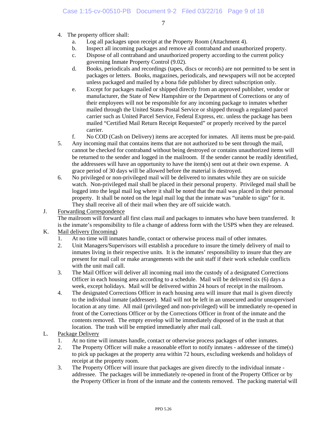- 4. The property officer shall:
	- a. Log all packages upon receipt at the Property Room (Attachment 4).
	- b. Inspect all incoming packages and remove all contraband and unauthorized property.
	- c. Dispose of all contraband and unauthorized property according to the current policy governing Inmate Property Control (9.02).
	- d. Books, periodicals and recordings (tapes, discs or records) are not permitted to be sent in packages or letters. Books, magazines, periodicals, and newspapers will not be accepted unless packaged and mailed by a bona fide publisher by direct subscription only.
	- e. Except for packages mailed or shipped directly from an approved publisher, vendor or manufacturer, the State of New Hampshire or the Department of Corrections or any of their employees will not be responsible for any incoming package to inmates whether mailed through the United States Postal Service or shipped through a regulated parcel carrier such as United Parcel Service, Federal Express, etc. unless the package has been mailed "Certified Mail Return Receipt Requested" or properly received by the parcel carrier.
	- f. No COD (Cash on Delivery) items are accepted for inmates. All items must be pre-paid.
- 5. Any incoming mail that contains items that are not authorized to be sent through the mail, cannot be checked for contraband without being destroyed or contains unauthorized items will be returned to the sender and logged in the mailroom. If the sender cannot be readily identified, the addressees will have an opportunity to have the item(s) sent out at their own expense. A grace period of 30 days will be allowed before the material is destroyed.
- 6. No privileged or non-privileged mail will be delivered to inmates while they are on suicide watch. Non-privileged mail shall be placed in their personal property. Privileged mail shall be logged into the legal mail log where it shall be noted that the mail was placed in their personal property. It shall be noted on the legal mail log that the inmate was "unable to sign" for it. They shall receive all of their mail when they are off suicide watch.

#### J. Forwarding Correspondence

 The mailroom will forward all first class mail and packages to inmates who have been transferred. It is the inmate's responsibility to file a change of address form with the USPS when they are released.

#### K. Mail delivery (Incoming)

- 1. At no time will inmates handle, contact or otherwise process mail of other inmates.
- 2. Unit Managers/Supervisors will establish a procedure to insure the timely delivery of mail to inmates living in their respective units. It is the inmates' responsibility to insure that they are present for mail call or make arrangements with the unit staff if their work schedule conflicts with the unit mail call.
- 3. The Mail Officer will deliver all incoming mail into the custody of a designated Corrections Officer in each housing area according to a schedule. Mail will be delivered six (6) days a week, except holidays. Mail will be delivered within 24 hours of receipt in the mailroom.
- 4. The designated Corrections Officer in each housing area will insure that mail is given directly to the individual inmate (addressee). Mail will not be left in an unsecured and/or unsupervised location at any time. All mail (privileged and non-privileged) will be immediately re-opened in front of the Corrections Officer or by the Corrections Officer in front of the inmate and the contents removed. The empty envelop will be immediately disposed of in the trash at that location. The trash will be emptied immediately after mail call.

#### L. Package Delivery

- 1. At no time will inmates handle, contact or otherwise process packages of other inmates.
- 2. The Property Officer will make a reasonable effort to notify inmates addressee of the time(s) to pick up packages at the property area within 72 hours, excluding weekends and holidays of receipt at the property room.
- 3. The Property Officer will insure that packages are given directly to the individual inmate addressee. The packages will be immediately re-opened in front of the Property Officer or by the Property Officer in front of the inmate and the contents removed. The packing material will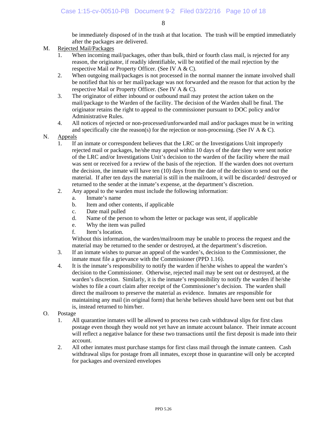be immediately disposed of in the trash at that location. The trash will be emptied immediately after the packages are delivered.

- M. Rejected Mail/Packages
	- 1. When incoming mail/packages, other than bulk, third or fourth class mail, is rejected for any reason, the originator, if readily identifiable, will be notified of the mail rejection by the respective Mail or Property Officer. (See IV A & C).
	- 2. When outgoing mail/packages is not processed in the normal manner the inmate involved shall be notified that his or her mail/package was not forwarded and the reason for that action by the respective Mail or Property Officer. (See IV A & C).
	- 3. The originator of either inbound or outbound mail may protest the action taken on the mail/package to the Warden of the facility. The decision of the Warden shall be final. The originator retains the right to appeal to the commissioner pursuant to DOC policy and/or Administrative Rules.
	- 4. All notices of rejected or non-processed/unforwarded mail and/or packages must be in writing and specifically cite the reason(s) for the rejection or non-processing. (See IV A & C).
- N. **Appeals** 
	- 1. If an inmate or correspondent believes that the LRC or the Investigations Unit improperly rejected mail or packages, he/she may appeal within 10 days of the date they were sent notice of the LRC and/or Investigations Unit's decision to the warden of the facility where the mail was sent or received for a review of the basis of the rejection. If the warden does not overturn the decision, the inmate will have ten (10) days from the date of the decision to send out the material. If after ten days the material is still in the mailroom, it will be discarded/ destroyed or returned to the sender at the inmate's expense, at the department's discretion.
	- 2. Any appeal to the warden must include the following information:
		- a. Inmate's name
		- b. Item and other contents, if applicable
		- c. Date mail pulled
		- d. Name of the person to whom the letter or package was sent, if applicable
		- e. Why the item was pulled
		- f. Item's location.

 Without this information, the warden/mailroom may be unable to process the request and the material may be returned to the sender or destroyed, at the department's discretion.

- 3. If an inmate wishes to pursue an appeal of the warden's, decision to the Commissioner, the inmate must file a grievance with the Commissioner (PPD 1.16).
- 4. It is the inmate's responsibility to notify the warden if he/she wishes to appeal the warden's decision to the Commissioner. Otherwise, rejected mail may be sent out or destroyed, at the warden's discretion. Similarly, it is the inmate's responsibility to notify the warden if he/she wishes to file a court claim after receipt of the Commissioner's decision. The warden shall direct the mailroom to preserve the material as evidence. Inmates are responsible for maintaining any mail (in original form) that he/she believes should have been sent out but that is, instead returned to him/her.
- O. Postage
	- 1. All quarantine inmates will be allowed to process two cash withdrawal slips for first class postage even though they would not yet have an inmate account balance. Their inmate account will reflect a negative balance for these two transactions until the first deposit is made into their account.
	- 2. All other inmates must purchase stamps for first class mail through the inmate canteen. Cash withdrawal slips for postage from all inmates, except those in quarantine will only be accepted for packages and oversized envelopes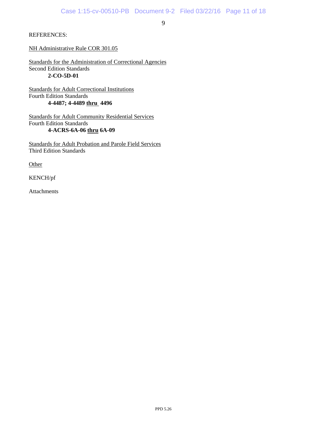REFERENCES:

NH Administrative Rule COR 301.05

Standards for the Administration of Correctional Agencies Second Edition Standards **2-CO-5D-01** 

Standards for Adult Correctional Institutions Fourth Edition Standards  **4-4487; 4-4489 thru 4496** 

Standards for Adult Community Residential Services Fourth Edition Standards **4-ACRS-6A-06 thru 6A-09** 

Standards for Adult Probation and Parole Field Services Third Edition Standards

**Other** 

KENCH/pf

Attachments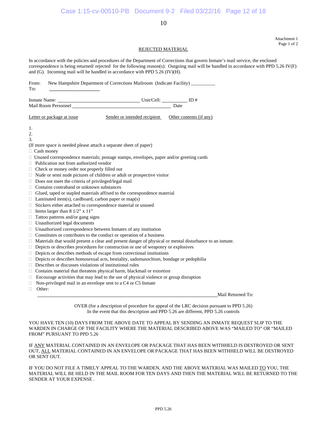Attachment 1 Page 1 of 2

#### REJECTED MATERIAL

In accordance with the policies and procedures of the Department of Corrections that govern Inmate's mail service, the enclosed correspondence is being returned/ rejected for the following reason(s): Outgoing mail will be handled in accordance with PPD 5.26 IV(F) and (G). Incoming mail will be handled in accordance with PPD 5.26 (IV)(H).

| From:<br>To:                                                                                                   | New Hampshire Department of Corrections Mailroom (Indicate Facility) _________                                                                     |                   |  |  |  |  |  |  |
|----------------------------------------------------------------------------------------------------------------|----------------------------------------------------------------------------------------------------------------------------------------------------|-------------------|--|--|--|--|--|--|
|                                                                                                                |                                                                                                                                                    |                   |  |  |  |  |  |  |
|                                                                                                                |                                                                                                                                                    |                   |  |  |  |  |  |  |
| Letter or package at issue                                                                                     | Sender or intended recipient  Other contents (if any)                                                                                              |                   |  |  |  |  |  |  |
| 1.                                                                                                             |                                                                                                                                                    |                   |  |  |  |  |  |  |
| 2.                                                                                                             |                                                                                                                                                    |                   |  |  |  |  |  |  |
| 3.                                                                                                             |                                                                                                                                                    |                   |  |  |  |  |  |  |
| (If more space is needed please attach a separate sheet of paper)                                              |                                                                                                                                                    |                   |  |  |  |  |  |  |
| □ Cash money                                                                                                   |                                                                                                                                                    |                   |  |  |  |  |  |  |
| $\Box$ Unused correspondence materials; postage stamps, envelopes, paper and/or greeting cards                 |                                                                                                                                                    |                   |  |  |  |  |  |  |
| $\Box$ Publication not from authorized vendor                                                                  |                                                                                                                                                    |                   |  |  |  |  |  |  |
| $\Box$ Check or money order not properly filled out                                                            |                                                                                                                                                    |                   |  |  |  |  |  |  |
| $\Box$ Nude or semi nude pictures of children or adult or prospective visitor                                  |                                                                                                                                                    |                   |  |  |  |  |  |  |
| $\Box$ Does not meet the criteria of privileged/legal mail                                                     |                                                                                                                                                    |                   |  |  |  |  |  |  |
| $\Box$                                                                                                         | Contains contraband or unknown substances                                                                                                          |                   |  |  |  |  |  |  |
| Glued, taped or stapled materials affixed to the correspondence material<br>Π.                                 |                                                                                                                                                    |                   |  |  |  |  |  |  |
| $\Box$ Laminated item(s), cardboard, carbon paper or map(s)                                                    |                                                                                                                                                    |                   |  |  |  |  |  |  |
| Stickers either attached to correspondence material or unused<br>$\Box$                                        |                                                                                                                                                    |                   |  |  |  |  |  |  |
| $\Box$ Items larger than 8 1/2" x 11"                                                                          |                                                                                                                                                    |                   |  |  |  |  |  |  |
| $\Box$ Tattoo patterns and/or gang signs                                                                       |                                                                                                                                                    |                   |  |  |  |  |  |  |
| □ Unauthorized legal documents                                                                                 |                                                                                                                                                    |                   |  |  |  |  |  |  |
| $\Box$ Unauthorized correspondence between Inmates of any institution                                          |                                                                                                                                                    |                   |  |  |  |  |  |  |
| $\Box$ Constitutes or contributes to the conduct or operation of a business                                    |                                                                                                                                                    |                   |  |  |  |  |  |  |
| $\Box$ Materials that would present a clear and present danger of physical or mental disturbance to an inmate. |                                                                                                                                                    |                   |  |  |  |  |  |  |
| $\Box$                                                                                                         | Depicts or describes procedures for construction or use of weaponry or explosives                                                                  |                   |  |  |  |  |  |  |
| Depicts or describes methods of escape from correctional institutions<br>□.                                    |                                                                                                                                                    |                   |  |  |  |  |  |  |
| Π.                                                                                                             | Depicts or describes homosexual acts, bestiality, sadomasochism, bondage or pedophilia<br>Describes or discusses violations of institutional rules |                   |  |  |  |  |  |  |
| Π.                                                                                                             |                                                                                                                                                    |                   |  |  |  |  |  |  |
| Contains material that threatens physical harm, blackmail or extortion<br>$\Box$                               |                                                                                                                                                    |                   |  |  |  |  |  |  |
| $\Box$                                                                                                         | Encourage activities that may lead to the use of physical violence or group disruption                                                             |                   |  |  |  |  |  |  |
| Non-privileged mail in an envelope sent to a C4 or C5 Inmate<br>O.                                             |                                                                                                                                                    |                   |  |  |  |  |  |  |
| Other:<br>O.                                                                                                   |                                                                                                                                                    | Mail Returned To: |  |  |  |  |  |  |

OVER (for a description of procedure for appeal of the LRC decision pursuant to PPD 5.26) In the event that this description and PPD 5.26 are different, PPD 5.26 controls

YOU HAVE TEN (10) DAYS FROM THE ABOVE DATE TO APPEAL BY SENDING AN INMATE REQUEST SLIP TO THE WARDEN IN CHARGE OF THE FACILITY WHERE THE MATERIAL DESCRIBED ABOVE WAS "MAILED TO" OR "MAILED FROM" PURSUANT TO PPD 5.26

IF ANY MATERIAL CONTAINED IN AN ENVELOPE OR PACKAGE THAT HAS BEEN WITHHELD IS DESTROYED OR SENT OUT, ALL MATERIAL CONTAINED IN AN ENVELOPE OR PACKAGE THAT HAS BEEN WITHHELD WILL BE DESTROYED OR SENT OUT.

IF YOU DO NOT FILE A TIMELY APPEAL TO THE WARDEN, AND THE ABOVE MATERIAL WAS MAILED TO YOU, THE MATERIAL WILL BE HELD IN THE MAIL ROOM FOR TEN DAYS AND THEN THE MATERIAL WILL BE RETURNED TO THE SENDER AT YOUR EXPENSE .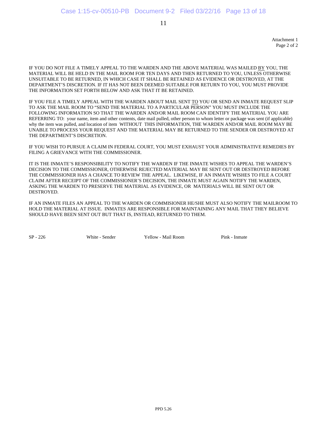Attachment 1 Page 2 of 2

IF YOU DO NOT FILE A TIMELY APPEAL TO THE WARDEN AND THE ABOVE MATERIAL WAS MAILED BY YOU, THE MATERIAL WILL BE HELD IN THE MAIL ROOM FOR TEN DAYS AND THEN RETURNED TO YOU, UNLESS OTHERWISE UNSUITABLE TO BE RETURNED, IN WHICH CASE IT SHALL BE RETAINED AS EVIDENCE OR DESTROYED, AT THE DEPARTMENT'S DISCRETION. IF IT HAS NOT BEEN DEEMED SUITABLE FOR RETURN TO YOU, YOU MUST PROVIDE THE INFORMATION SET FORTH BELOW AND ASK THAT IT BE RETAINED.

IF YOU FILE A TIMELY APPEAL WITH THE WARDEN ABOUT MAIL SENT TO YOU OR SEND AN INMATE REQUEST SLIP TO ASK THE MAIL ROOM TO "SEND THE MATERIAL TO A PARTICULAR PERSON" YOU MUST INCLUDE THE FOLLOWING INFORMATION SO THAT THE WARDEN AND/OR MAIL ROOM CAN IDENTIFY THE MATERIAL YOU ARE REFERRING TO: your name, item and other contents, date mail pulled, other person to whom letter or package was sent (if applicable) why the item was pulled, and location of item WITHOUT THIS INFORMATION, THE WARDEN AND/OR MAIL ROOM MAY BE UNABLE TO PROCESS YOUR REQUEST AND THE MATERIAL MAY BE RETURNED TO THE SENDER OR DESTROYED AT THE DEPARTMENT'S DISCRETION.

IF YOU WISH TO PURSUE A CLAIM IN FEDERAL COURT, YOU MUST EXHAUST YOUR ADMINISTRATIVE REMEDIES BY FILING A GRIEVANCE WITH THE COMMISSIONER.

IT IS THE INMATE'S RESPONSIBILITY TO NOTIFY THE WARDEN IF THE INMATE WISHES TO APPEAL THE WARDEN'S DECISION TO THE COMMISSIONER, OTHERWISE REJECTED MATERIAL MAY BE SENT OUT OR DESTROYED BEFORE THE COMMISSIONER HAS A CHANCE TO REVIEW THE APPEAL. LIKEWISE, IF AN INMATE WISHES TO FILE A COURT *C*LAIM AFTER RECEIPT OF THE COMMISSIONER'S DECISION, THE INMATE MUST AGAIN NOTIFY THE WARDEN, ASKING THE WARDEN TO PRESERVE THE MATERIAL AS EVIDENCE, OR MATERIALS WILL BE SENT OUT OR DESTROYED.

IF AN INMATE FILES AN APPEAL TO THE WARDEN OR COMMISIONER HE/SHE MUST ALSO NOTIFY THE MAILROOM TO HOLD THE MATERIAL AT ISSUE. INMATES ARE RESPONSIBLE FOR MAINTAINING ANY MAIL THAT THEY BELIEVE SHOULD HAVE BEEN SENT OUT BUT THAT IS, INSTEAD, RETURNED TO THEM.

SP - 226 White - Sender Yellow - Mail Room Pink - Inmate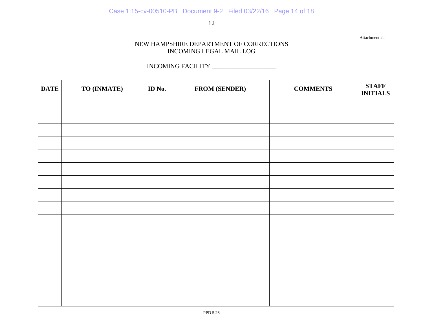Attachment 2a

#### NEW HAMPSHIRE DEPARTMENT OF CORRECTIONS INCOMING LEGAL MAIL LOG

#### INCOMING FACILITY \_\_\_\_\_\_\_\_\_\_\_\_\_\_\_\_\_\_\_\_

| <b>DATE</b> | TO (INMATE) | ID No. | <b>FROM (SENDER)</b> | <b>COMMENTS</b> | <b>STAFF</b><br><b>INITIALS</b> |
|-------------|-------------|--------|----------------------|-----------------|---------------------------------|
|             |             |        |                      |                 |                                 |
|             |             |        |                      |                 |                                 |
|             |             |        |                      |                 |                                 |
|             |             |        |                      |                 |                                 |
|             |             |        |                      |                 |                                 |
|             |             |        |                      |                 |                                 |
|             |             |        |                      |                 |                                 |
|             |             |        |                      |                 |                                 |
|             |             |        |                      |                 |                                 |
|             |             |        |                      |                 |                                 |
|             |             |        |                      |                 |                                 |
|             |             |        |                      |                 |                                 |
|             |             |        |                      |                 |                                 |
|             |             |        |                      |                 |                                 |
|             |             |        |                      |                 |                                 |
|             |             |        |                      |                 |                                 |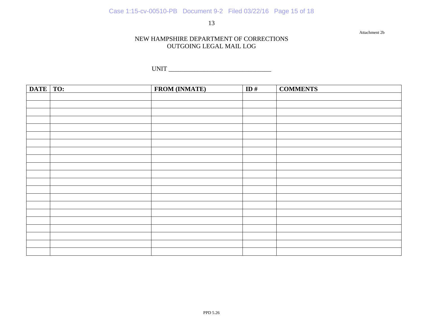Attachment 2b

#### NEW HAMPSHIRE DEPARTMENT OF CORRECTIONS OUTGOING LEGAL MAIL LOG

UNIT \_\_\_\_\_\_\_\_\_\_\_\_\_\_\_\_\_\_\_\_\_\_\_\_\_\_\_\_\_\_\_\_

| <b>DATE</b> | TO: | <b>FROM (INMATE)</b> | ID# | <b>COMMENTS</b> |
|-------------|-----|----------------------|-----|-----------------|
|             |     |                      |     |                 |
|             |     |                      |     |                 |
|             |     |                      |     |                 |
|             |     |                      |     |                 |
|             |     |                      |     |                 |
|             |     |                      |     |                 |
|             |     |                      |     |                 |
|             |     |                      |     |                 |
|             |     |                      |     |                 |
|             |     |                      |     |                 |
|             |     |                      |     |                 |
|             |     |                      |     |                 |
|             |     |                      |     |                 |
|             |     |                      |     |                 |
|             |     |                      |     |                 |
|             |     |                      |     |                 |
|             |     |                      |     |                 |
|             |     |                      |     |                 |
|             |     |                      |     |                 |
|             |     |                      |     |                 |
|             |     |                      |     |                 |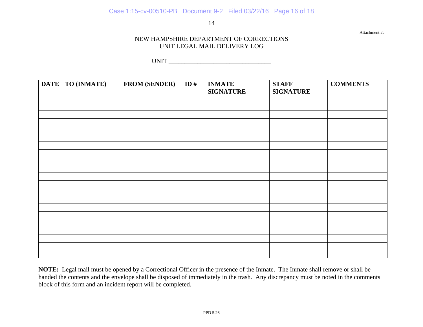Attachment 2c

#### NEW HAMPSHIRE DEPARTMENT OF CORRECTIONS UNIT LEGAL MAIL DELIVERY LOG

UNIT

| <b>DATE</b> | <b>TO (INMATE)</b> | <b>FROM (SENDER)</b> | ID# | <b>INMATE</b><br><b>SIGNATURE</b> | <b>STAFF</b><br><b>SIGNATURE</b> | <b>COMMENTS</b> |
|-------------|--------------------|----------------------|-----|-----------------------------------|----------------------------------|-----------------|
|             |                    |                      |     |                                   |                                  |                 |
|             |                    |                      |     |                                   |                                  |                 |
|             |                    |                      |     |                                   |                                  |                 |
|             |                    |                      |     |                                   |                                  |                 |
|             |                    |                      |     |                                   |                                  |                 |
|             |                    |                      |     |                                   |                                  |                 |
|             |                    |                      |     |                                   |                                  |                 |
|             |                    |                      |     |                                   |                                  |                 |
|             |                    |                      |     |                                   |                                  |                 |
|             |                    |                      |     |                                   |                                  |                 |
|             |                    |                      |     |                                   |                                  |                 |
|             |                    |                      |     |                                   |                                  |                 |
|             |                    |                      |     |                                   |                                  |                 |

**NOTE:** Legal mail must be opened by a Correctional Officer in the presence of the Inmate. The Inmate shall remove or shall be handed the contents and the envelope shall be disposed of immediately in the trash. Any discrepancy must be noted in the comments block of this form and an incident report will be completed.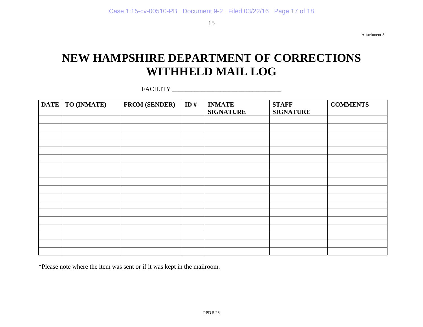Attachment 3

## **NEW HAMPSHIRE DEPARTMENT OF CORRECTIONS WITHHELD MAIL LOG**

FACILITY

| <b>DATE</b> | TO (INMATE) | <b>FROM (SENDER)</b> | ID# | <b>INMATE</b><br><b>SIGNATURE</b> | <b>STAFF</b><br><b>SIGNATURE</b> | <b>COMMENTS</b> |
|-------------|-------------|----------------------|-----|-----------------------------------|----------------------------------|-----------------|
|             |             |                      |     |                                   |                                  |                 |
|             |             |                      |     |                                   |                                  |                 |
|             |             |                      |     |                                   |                                  |                 |
|             |             |                      |     |                                   |                                  |                 |
|             |             |                      |     |                                   |                                  |                 |
|             |             |                      |     |                                   |                                  |                 |
|             |             |                      |     |                                   |                                  |                 |
|             |             |                      |     |                                   |                                  |                 |
|             |             |                      |     |                                   |                                  |                 |
|             |             |                      |     |                                   |                                  |                 |
|             |             |                      |     |                                   |                                  |                 |
|             |             |                      |     |                                   |                                  |                 |
|             |             |                      |     |                                   |                                  |                 |
|             |             |                      |     |                                   |                                  |                 |
|             |             |                      |     |                                   |                                  |                 |
|             |             |                      |     |                                   |                                  |                 |
|             |             |                      |     |                                   |                                  |                 |
|             |             |                      |     |                                   |                                  |                 |

\*Please note where the item was sent or if it was kept in the mailroom.